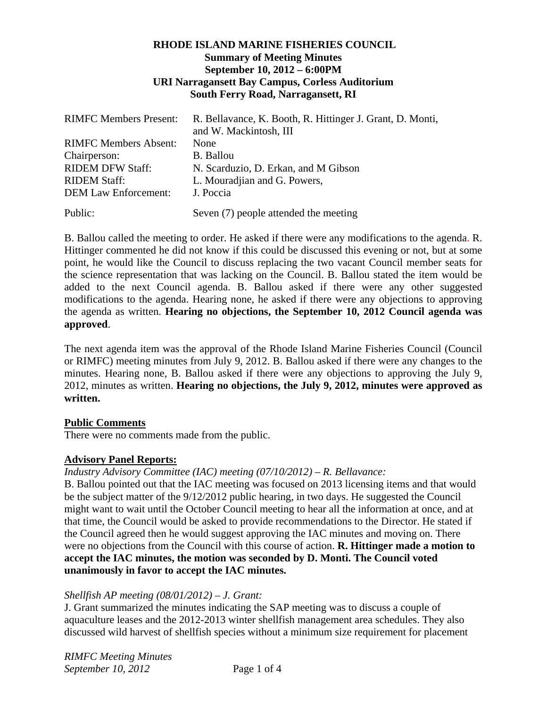## **RHODE ISLAND MARINE FISHERIES COUNCIL Summary of Meeting Minutes September 10, 2012 – 6:00PM URI Narragansett Bay Campus, Corless Auditorium South Ferry Road, Narragansett, RI**

| <b>RIMFC Members Present:</b> | R. Bellavance, K. Booth, R. Hittinger J. Grant, D. Monti,<br>and W. Mackintosh, III |
|-------------------------------|-------------------------------------------------------------------------------------|
| <b>RIMFC Members Absent:</b>  | None                                                                                |
| Chairperson:                  | <b>B.</b> Ballou                                                                    |
| <b>RIDEM DFW Staff:</b>       | N. Scarduzio, D. Erkan, and M Gibson                                                |
| <b>RIDEM Staff:</b>           | L. Mouradjian and G. Powers,                                                        |
| <b>DEM Law Enforcement:</b>   | J. Poccia                                                                           |
| Public:                       | Seven (7) people attended the meeting                                               |

B. Ballou called the meeting to order. He asked if there were any modifications to the agenda. R. Hittinger commented he did not know if this could be discussed this evening or not, but at some point, he would like the Council to discuss replacing the two vacant Council member seats for the science representation that was lacking on the Council. B. Ballou stated the item would be added to the next Council agenda. B. Ballou asked if there were any other suggested modifications to the agenda. Hearing none, he asked if there were any objections to approving the agenda as written. **Hearing no objections, the September 10, 2012 Council agenda was approved**.

The next agenda item was the approval of the Rhode Island Marine Fisheries Council (Council or RIMFC) meeting minutes from July 9, 2012. B. Ballou asked if there were any changes to the minutes. Hearing none, B. Ballou asked if there were any objections to approving the July 9, 2012, minutes as written. **Hearing no objections, the July 9, 2012, minutes were approved as written.** 

### **Public Comments**

There were no comments made from the public.

# **Advisory Panel Reports:**

*Industry Advisory Committee (IAC) meeting (07/10/2012) – R. Bellavance:* 

B. Ballou pointed out that the IAC meeting was focused on 2013 licensing items and that would be the subject matter of the 9/12/2012 public hearing, in two days. He suggested the Council might want to wait until the October Council meeting to hear all the information at once, and at that time, the Council would be asked to provide recommendations to the Director. He stated if the Council agreed then he would suggest approving the IAC minutes and moving on. There were no objections from the Council with this course of action. **R. Hittinger made a motion to accept the IAC minutes, the motion was seconded by D. Monti. The Council voted unanimously in favor to accept the IAC minutes.** 

### *Shellfish AP meeting (08/01/2012) – J. Grant:*

J. Grant summarized the minutes indicating the SAP meeting was to discuss a couple of aquaculture leases and the 2012-2013 winter shellfish management area schedules. They also discussed wild harvest of shellfish species without a minimum size requirement for placement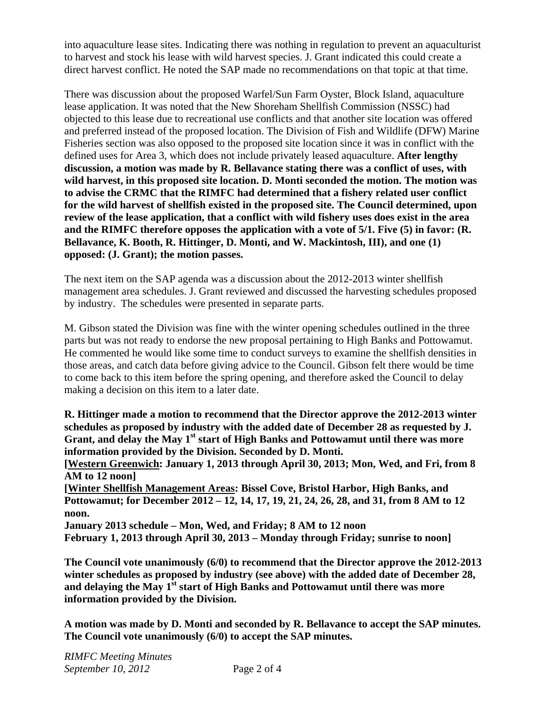into aquaculture lease sites. Indicating there was nothing in regulation to prevent an aquaculturist to harvest and stock his lease with wild harvest species. J. Grant indicated this could create a direct harvest conflict. He noted the SAP made no recommendations on that topic at that time.

There was discussion about the proposed Warfel/Sun Farm Oyster, Block Island, aquaculture lease application. It was noted that the New Shoreham Shellfish Commission (NSSC) had objected to this lease due to recreational use conflicts and that another site location was offered and preferred instead of the proposed location. The Division of Fish and Wildlife (DFW) Marine Fisheries section was also opposed to the proposed site location since it was in conflict with the defined uses for Area 3, which does not include privately leased aquaculture. **After lengthy discussion, a motion was made by R. Bellavance stating there was a conflict of uses, with wild harvest, in this proposed site location. D. Monti seconded the motion. The motion was to advise the CRMC that the RIMFC had determined that a fishery related user conflict for the wild harvest of shellfish existed in the proposed site. The Council determined, upon review of the lease application, that a conflict with wild fishery uses does exist in the area and the RIMFC therefore opposes the application with a vote of 5/1. Five (5) in favor: (R. Bellavance, K. Booth, R. Hittinger, D. Monti, and W. Mackintosh, III), and one (1) opposed: (J. Grant); the motion passes.** 

The next item on the SAP agenda was a discussion about the 2012-2013 winter shellfish management area schedules. J. Grant reviewed and discussed the harvesting schedules proposed by industry. The schedules were presented in separate parts.

M. Gibson stated the Division was fine with the winter opening schedules outlined in the three parts but was not ready to endorse the new proposal pertaining to High Banks and Pottowamut. He commented he would like some time to conduct surveys to examine the shellfish densities in those areas, and catch data before giving advice to the Council. Gibson felt there would be time to come back to this item before the spring opening, and therefore asked the Council to delay making a decision on this item to a later date.

**R. Hittinger made a motion to recommend that the Director approve the 2012-2013 winter schedules as proposed by industry with the added date of December 28 as requested by J.**  Grant, and delay the May 1<sup>st</sup> start of High Banks and Pottowamut until there was more **information provided by the Division. Seconded by D. Monti.** 

**[Western Greenwich: January 1, 2013 through April 30, 2013; Mon, Wed, and Fri, from 8 AM to 12 noon]** 

**[Winter Shellfish Management Areas: Bissel Cove, Bristol Harbor, High Banks, and Pottowamut; for December 2012 – 12, 14, 17, 19, 21, 24, 26, 28, and 31, from 8 AM to 12 noon.** 

**January 2013 schedule – Mon, Wed, and Friday; 8 AM to 12 noon February 1, 2013 through April 30, 2013 – Monday through Friday; sunrise to noon]** 

**The Council vote unanimously (6/0) to recommend that the Director approve the 2012-2013 winter schedules as proposed by industry (see above) with the added date of December 28,**  and delaying the May 1<sup>st</sup> start of High Banks and Pottowamut until there was more **information provided by the Division.** 

**A motion was made by D. Monti and seconded by R. Bellavance to accept the SAP minutes. The Council vote unanimously (6/0) to accept the SAP minutes.**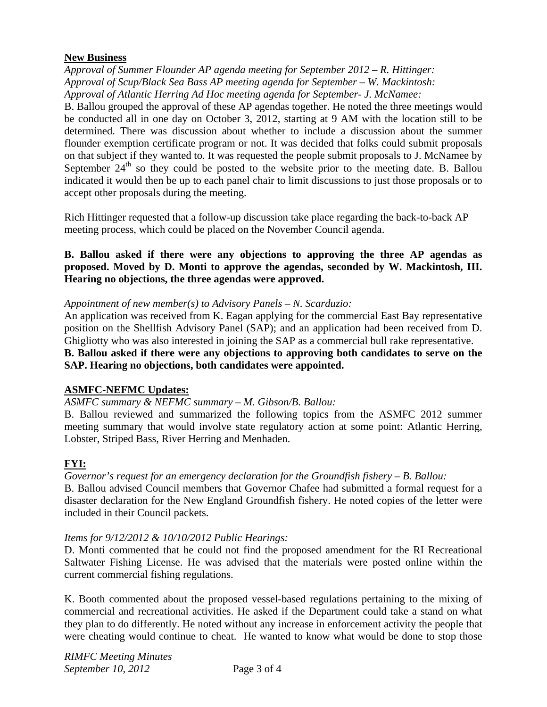## **New Business**

*Approval of Summer Flounder AP agenda meeting for September 2012 – R. Hittinger: Approval of Scup/Black Sea Bass AP meeting agenda for September – W. Mackintosh: Approval of Atlantic Herring Ad Hoc meeting agenda for September- J. McNamee:* 

B. Ballou grouped the approval of these AP agendas together. He noted the three meetings would be conducted all in one day on October 3, 2012, starting at 9 AM with the location still to be determined. There was discussion about whether to include a discussion about the summer flounder exemption certificate program or not. It was decided that folks could submit proposals on that subject if they wanted to. It was requested the people submit proposals to J. McNamee by September  $24<sup>th</sup>$  so they could be posted to the website prior to the meeting date. B. Ballou indicated it would then be up to each panel chair to limit discussions to just those proposals or to accept other proposals during the meeting.

Rich Hittinger requested that a follow-up discussion take place regarding the back-to-back AP meeting process, which could be placed on the November Council agenda.

# **B. Ballou asked if there were any objections to approving the three AP agendas as proposed. Moved by D. Monti to approve the agendas, seconded by W. Mackintosh, III. Hearing no objections, the three agendas were approved.**

## *Appointment of new member(s) to Advisory Panels – N. Scarduzio:*

An application was received from K. Eagan applying for the commercial East Bay representative position on the Shellfish Advisory Panel (SAP); and an application had been received from D. Ghigliotty who was also interested in joining the SAP as a commercial bull rake representative. **B. Ballou asked if there were any objections to approving both candidates to serve on the SAP. Hearing no objections, both candidates were appointed.** 

# **ASMFC-NEFMC Updates:**

### *ASMFC summary & NEFMC summary – M. Gibson/B. Ballou:*

B. Ballou reviewed and summarized the following topics from the ASMFC 2012 summer meeting summary that would involve state regulatory action at some point: Atlantic Herring, Lobster, Striped Bass, River Herring and Menhaden.

# **FYI:**

# *Governor's request for an emergency declaration for the Groundfish fishery – B. Ballou:*

B. Ballou advised Council members that Governor Chafee had submitted a formal request for a disaster declaration for the New England Groundfish fishery. He noted copies of the letter were included in their Council packets.

### *Items for 9/12/2012 & 10/10/2012 Public Hearings:*

D. Monti commented that he could not find the proposed amendment for the RI Recreational Saltwater Fishing License. He was advised that the materials were posted online within the current commercial fishing regulations.

K. Booth commented about the proposed vessel-based regulations pertaining to the mixing of commercial and recreational activities. He asked if the Department could take a stand on what they plan to do differently. He noted without any increase in enforcement activity the people that were cheating would continue to cheat. He wanted to know what would be done to stop those